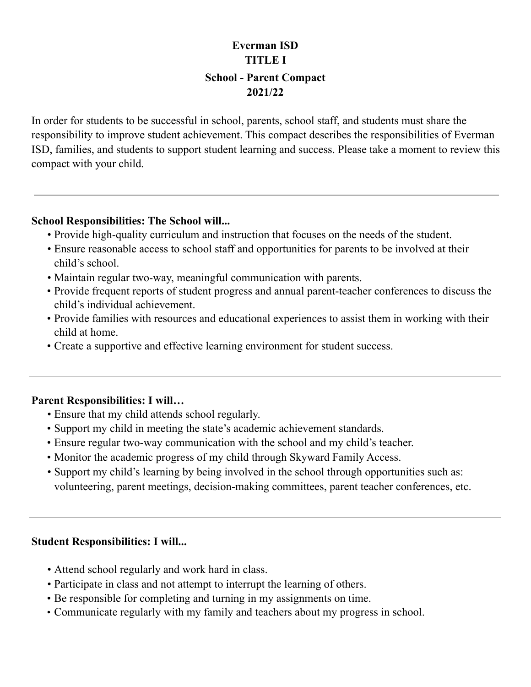# **School - Parent Compact Everman ISD TITLE I 2021/22**

 In order for students to be successful in school, parents, school staff, and students must share the responsibility to improve student achievement. This compact describes the responsibilities of Everman ISD, families, and students to support student learning and success. Please take a moment to review this compact with your child.

### **School Responsibilities: The School will...**

- *•* Provide high-quality curriculum and instruction that focuses on the needs of the student.
- *•* Ensure reasonable access to school staff and opportunities for parents to be involved at their child's school.
- *•* Maintain regular two-way, meaningful communication with parents.
- • Provide frequent reports of student progress and annual parent-teacher conferences to discuss the child's individual achievement.
- • Provide families with resources and educational experiences to assist them in working with their child at home.
- Create a supportive and effective learning environment for student success.

### **Parent Responsibilities: I will…**

- *•* Ensure that my child attends school regularly.
- Support my child in meeting the state's academic achievement standards.
- Ensure regular two-way communication with the school and my child's teacher.
- Monitor the academic progress of my child through Skyward Family Access.
- *•* Support my child's learning by being involved in the school through opportunities such as: volunteering, parent meetings, decision-making committees, parent teacher conferences, etc.

#### **Student Responsibilities: I will...**

- *•* Attend school regularly and work hard in class.
- *•* Participate in class and not attempt to interrupt the learning of others.
- Be responsible for completing and turning in my assignments on time.
- Communicate regularly with my family and teachers about my progress in school.